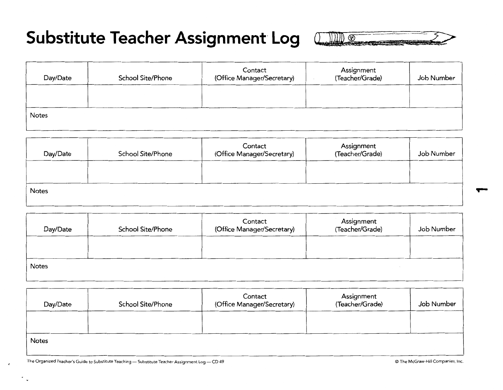## **Substitute Teacher Assignment Log @ 2000**



| Day/Date | School Site/Phone | Contact<br>(Office Manager/Secretary) | Assignment<br>(Teacher/Grade) | Job Number |
|----------|-------------------|---------------------------------------|-------------------------------|------------|
|          |                   |                                       |                               |            |
| Notes    |                   |                                       |                               |            |

| Day/Date     | School Site/Phone | Contact<br>(Office Manager/Secretary) | Assignment<br>(Teacher/Grade) | Job Number |  |
|--------------|-------------------|---------------------------------------|-------------------------------|------------|--|
|              |                   |                                       |                               |            |  |
| <b>Notes</b> |                   |                                       |                               |            |  |

| Day/Date | School Site/Phone | Contact<br>(Office Manager/Secretary) | Assignment<br>(Teacher/Grade) | Job Number |
|----------|-------------------|---------------------------------------|-------------------------------|------------|
|          |                   |                                       |                               |            |
| Notes    |                   |                                       |                               |            |

| Day/Date     | School Site/Phone | Contact<br>(Office Manager/Secretary) | Assignment<br>(Teacher/Grade) | Job Number |
|--------------|-------------------|---------------------------------------|-------------------------------|------------|
|              |                   |                                       |                               |            |
| <b>Notes</b> |                   |                                       |                               |            |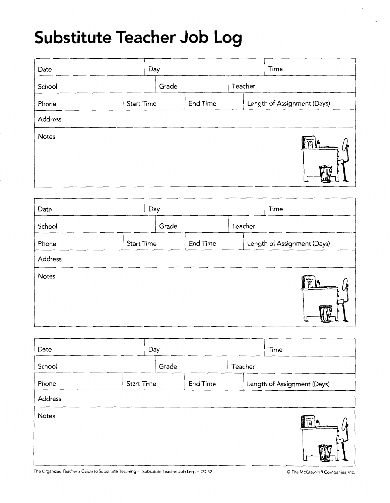# **Substitute Teacher Job Log**

| Date    |                   | Day |       |          |         | Time                        |
|---------|-------------------|-----|-------|----------|---------|-----------------------------|
| School  |                   |     | Grade |          | Teacher |                             |
| Phone   | <b>Start Time</b> |     |       | End Time |         | Length of Assignment (Days) |
| Address |                   |     |       |          |         |                             |
| Notes   |                   |     |       |          |         |                             |

| Date    |                   | Day |       |          |         | Time                        |
|---------|-------------------|-----|-------|----------|---------|-----------------------------|
| School  |                   |     | Grade |          | Teacher |                             |
| Phone   | <b>Start Time</b> |     |       | End Time |         | Length of Assignment (Days) |
| Address |                   |     |       |          |         |                             |
| Notes   |                   |     |       |          |         | ົ'ດ                         |

| Date    |                   | Day |          |  |                             |         | Time   |
|---------|-------------------|-----|----------|--|-----------------------------|---------|--------|
| School  |                   |     | Grade    |  |                             | Teacher |        |
| Phone   | <b>Start Time</b> |     | End Time |  | Length of Assignment (Days) |         |        |
| Address |                   |     |          |  |                             |         |        |
| Notes   |                   |     |          |  |                             |         | ה<br>ה |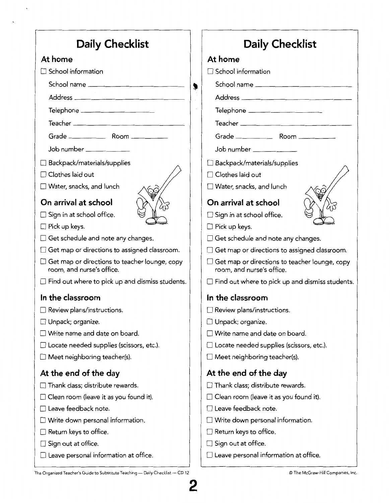| <b>Daily Checklist</b>                                                     | <b>Daily Checklist</b>                                                     |
|----------------------------------------------------------------------------|----------------------------------------------------------------------------|
| At home                                                                    | At home                                                                    |
| $\Box$ School information                                                  | $\sqsupset$ School information                                             |
|                                                                            | School name _________________________<br>G                                 |
|                                                                            |                                                                            |
|                                                                            | Telephone ______________________                                           |
|                                                                            |                                                                            |
| Grade Room                                                                 | Grade _________ Room _______                                               |
| $Job number \_\_$                                                          |                                                                            |
| Backpack/materials/supplies                                                | $\Box$ Backpack/materials/supplies                                         |
| Clothes laid out                                                           | $\Box$ Clothes laid out                                                    |
| □ Water, snacks, and lunch                                                 | $\square$ Water, snacks, and lunch                                         |
| On arrival at school                                                       | On arrival at school                                                       |
| $\Box$ Sign in at school office.                                           | $\Box$ Sign in at school office.                                           |
| $\Box$ Pick up keys.                                                       | $\Box$ Pick up keys.                                                       |
| □ Get schedule and note any changes.                                       | $\Box$ Get schedule and note any changes.                                  |
| $\Box$ Get map or directions to assigned classroom.                        | $\Box$ Get map or directions to assigned classroom.                        |
| Get map or directions to teacher lounge, copy<br>room, and nurse's office. | Get map or directions to teacher lounge, copy<br>room, and nurse's office. |
| $\Box$ Find out where to pick up and dismiss students.                     | $\Box$ Find out where to pick up and dismiss students.                     |
| In the classroom                                                           | In the classroom                                                           |
| Review plans/instructions.                                                 | $\Box$ Review plans/instructions.                                          |
| Unpack; organize.                                                          | Unpack; organize.                                                          |
| Write name and date on board.                                              | Write name and date on board.                                              |
| $\Box$ Locate needed supplies (scissors, etc.).                            | $\Box$ Locate needed supplies (scissors, etc.).                            |
| $\Box$ Meet neighboring teacher(s).                                        | $\Box$ Meet neighboring teacher(s).                                        |
| At the end of the day                                                      | At the end of the day                                                      |
| Thank class; distribute rewards.                                           | Thank class; distribute rewards.                                           |
| Clean room (leave it as you found it).                                     | Clean room (leave it as you found it).                                     |
| Leave feedback note.                                                       | $\Box$ Leave feedback note.                                                |
| Write down personal information.                                           | Write down personal information.                                           |
| Return keys to office.                                                     | Return keys to office.<br>$\Box$                                           |
| Sign out at office.                                                        | Sign out at office.<br>∐                                                   |
| $\Box$ Leave personal information at office.                               | $\Box$ Leave personal information at office.                               |

The Organized Teacher's Guide to Substitute Teaching - Daily Checklist - CD 12

 $\overline{\phantom{a}}$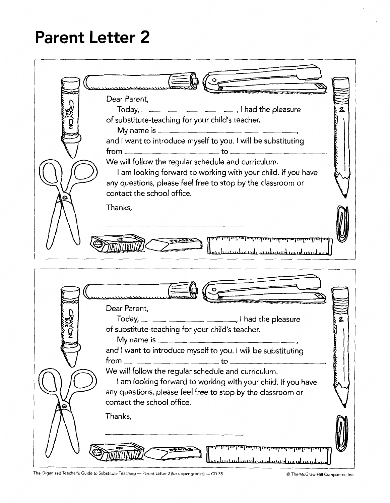# **Parent Letter 2**

| Dear Parent,<br>of substitute-teaching for your child's teacher.<br>and I want to introduce myself to you. I will be substituting                                                                                                                                     |  |
|-----------------------------------------------------------------------------------------------------------------------------------------------------------------------------------------------------------------------------------------------------------------------|--|
| We will follow the regular schedule and curriculum.<br>I am looking forward to working with your child. If you have<br>any questions, please feel free to stop by the classroom or<br>contact the school office.<br>Thanks,                                           |  |
| لتسلسله فيتطيعنا انعطيسا بسنه استلسلسيل سيلسل سندية بمليا<br>aka mahambang kapang pang mand                                                                                                                                                                           |  |
|                                                                                                                                                                                                                                                                       |  |
|                                                                                                                                                                                                                                                                       |  |
| Dear Parent,<br>of substitute-teaching for your child's teacher.<br>and I want to introduce myself to you. I will be substituting                                                                                                                                     |  |
| from $\_$<br>———————————————————— to _<br>We will follow the regular schedule and curriculum.<br>I am looking forward to working with your child. If you have<br>any questions, please feel free to stop by the classroom or<br>contact the school office.<br>Thanks, |  |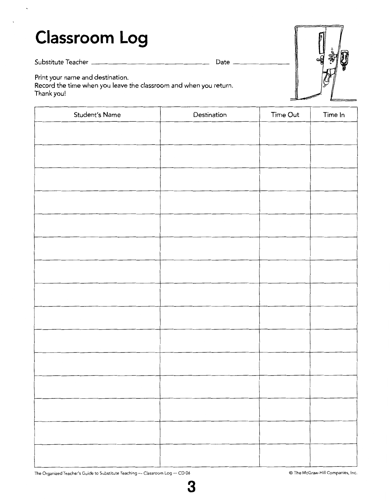## **Classroom Log**

Substitute Teacher ---------------- Date \_\_\_\_\_\_\_ \_



Print your name and destination.

Record the time when you leave the classroom and when you return. Thank you!

| Student's Name | Destination | Time Out | Time In |
|----------------|-------------|----------|---------|
|                |             |          |         |
|                |             |          |         |
|                |             |          |         |
|                |             |          |         |
|                |             |          |         |
|                |             |          |         |
|                |             |          |         |
|                |             |          |         |
|                |             |          |         |
|                |             |          |         |
|                |             |          |         |
|                |             |          |         |
|                |             |          |         |
|                |             |          |         |
|                |             |          |         |

**3**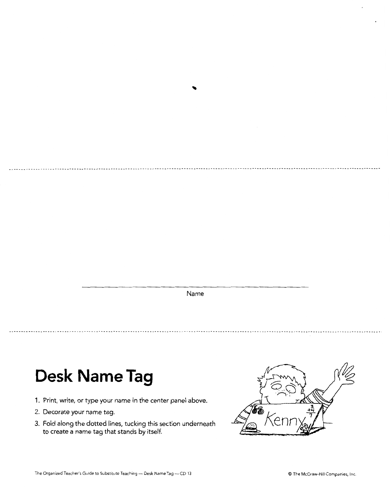Name

## **Desk Name Tag**

- 1. Print, write, or type your name in the center panel above.
- 2. Decorate your name tag.
- 3. Fold along the dotted lines, tucking this section underneath to create a name tag that stands by itself.

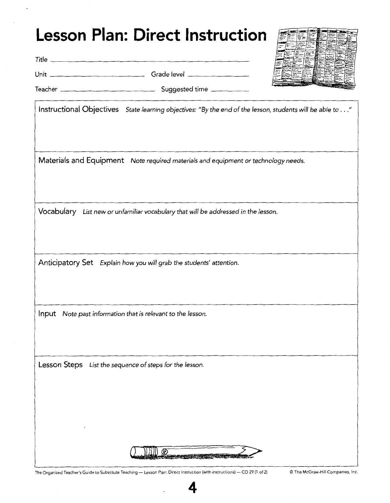### **Lesson Plan: Direct Instruction**

| Unit    | Grade level __ |
|---------|----------------|
| Teacher | Suggested time |

Title------------------------

Instructional Objectives State *learning objectives: "By the end of the lesson,* students *will be able* to ... "

Materials and Equipment Note *required materials* and *equipment* or *technology* needs.

Vocabulary *List* new or *unfamiliar vocabulary that will be addressed* in *the lesson.* 

Anticipatory Set *Explain how* you *will* grab *the* students' *attention.* 

Input Note past *information that is relevant* to *the lesson.* 

Lesson Steps *List the* sequence *of* steps *for the lesson.* 



The Organized Teacher's Guide to Substitute Teaching -- Lesson Plan: Direct Instruction (with instructions) - CD 29 (1 of 2) © The McGraw-Hill Companies, Inc.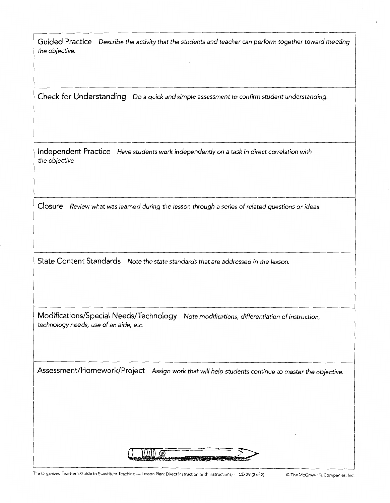**Guided Practice** *Describe the activity that the students and teacher* can *perform together toward meeting the objective.* 

**Check for Understanding** *Do* a *quick and simple* assessment *to confirm student understanding.* 

**Independent Practice** *Have students work independently* on a *task in direct correlation with the objective.* 

**Closure** *Review what* was *learned during the lesson through* a *series of related questions or ideas.* 

**State Content Standards** *Note the state standards that are addressed in the lesson.* 

**Modifications/Special Needs/Technology** *Note modifications, differentiation of instruction, technology needs, use of* an *aide, etc.* 

**Assessment/Homework/Project** *Assign work that will help students continue to master the objective.* 

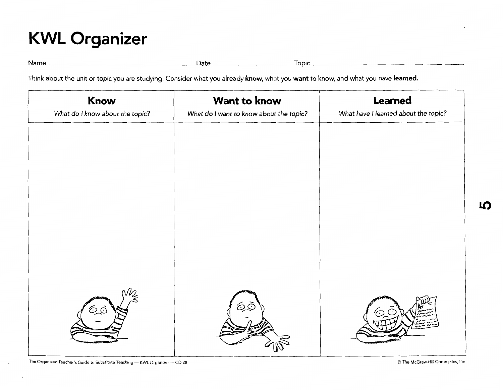## **KWL Organizer**

| Name | <b>Date</b> | Topic |
|------|-------------|-------|
|      |             |       |

Think about the unit or topic you are studying. Consider what you already **know,** what you **want** to know, and what you have **learned.** 



The Organized Teacher's Guide to Substitute Teaching — KWL Organizer — CD 28  $\blacksquare$ 

**Ll)**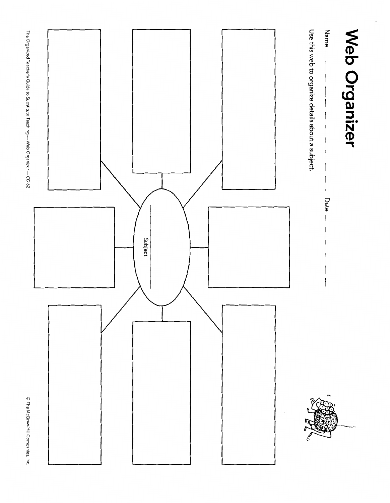

The Organized Teacher's Guide to Substitute Teaching --- Web Organizer --- CD 62

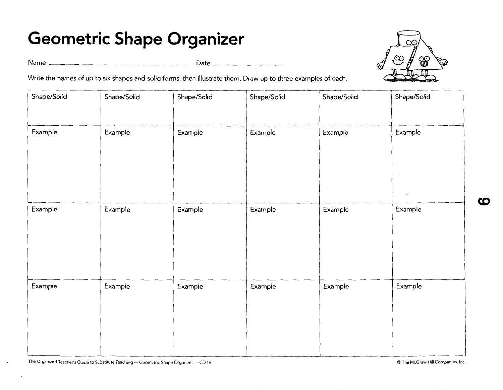# **Geometric Shape Organizer**

Name------------------ Date \_\_\_\_\_\_\_\_\_ \_



Write the names of up to six shapes and solid forms, then illustrate them. Draw up to three examples of each.

| Shape/Solid | Shape/Solid | Shape/Solid | Shape/Solid | Shape/Solid | Shape/Solid          |
|-------------|-------------|-------------|-------------|-------------|----------------------|
|             |             |             |             |             |                      |
| Example     | Example     | Example     | Example     | Example     | Example              |
|             |             |             |             |             |                      |
|             |             |             |             |             |                      |
|             |             |             |             |             | $\ddot{\phantom{a}}$ |
|             |             |             |             |             | $\epsilon$           |
| Example     | Example     | Example     | Example     | Example     | Example              |
|             |             |             |             |             |                      |
|             |             |             |             |             |                      |
|             |             |             |             |             |                      |
|             |             |             |             |             |                      |
| Example     | Example     | Example     | Example     | Example     | Example              |
|             |             |             |             |             |                      |
|             |             |             |             |             |                      |
|             |             |             |             |             |                      |
|             |             |             |             |             |                      |

The Organized Teacher's Guide to Substitute Teaching — Geometric Shape Organizer - CD 16 © The McGraw-Hill Companies, Inc.

**CD**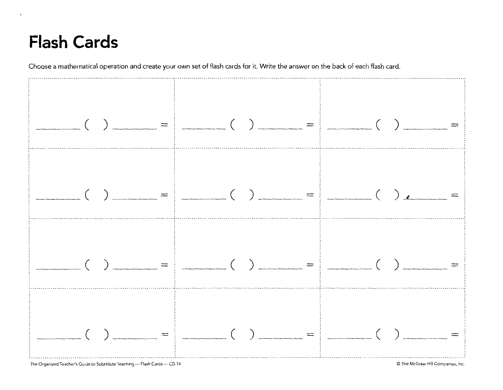#### **Flash Cards**

Choose a mathematical operation and create your own set of flash cards for it. Write the answer on the back of each flash card.



The Organized Teacher's Guide to Substitute Teaching -- Flash Cards -- CD 14

© The McGraw-Hill Companies, Inc.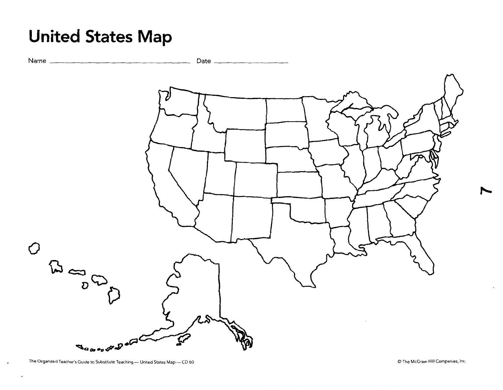#### **United States Map**



 $\pmb{\cdot}$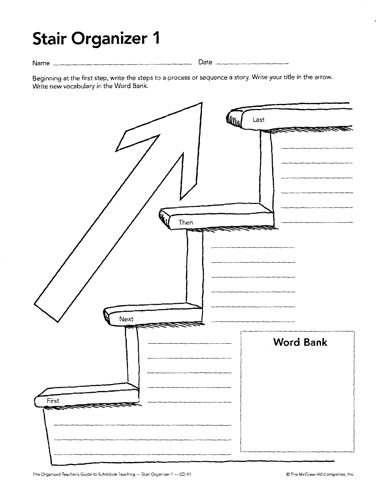# **Stair Organizer 1**

Name ------------------- Date \_\_\_\_\_\_\_\_\_ \_

Beginning at the first step, write the steps to a process or sequence a story. Write your title in the arrow. Write new vocabulary in the Word Bank.

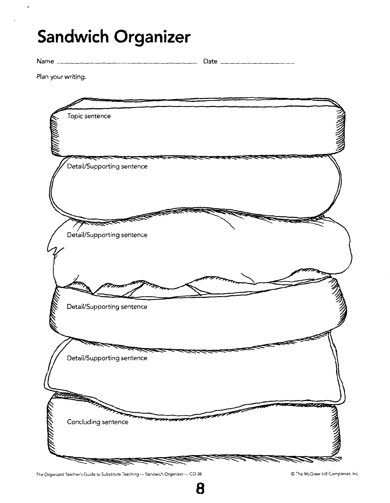# **Sandwich Organizer**

**Name** ---------------------------------------- **Date** \_\_\_\_\_\_\_\_\_\_ \_

**Plan your writing.** 



**8** 

The Organized Teacher's Guide to Substitute Teaching — Sandwich Organizer — CD 38  $\bullet$  © The McGraw-Hill Companies, Inc.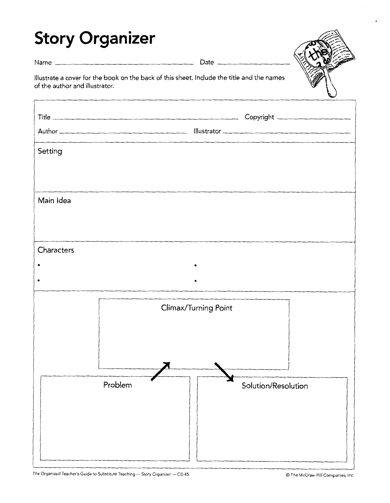# **Story Organizer**

Name ------------------ Date \_\_\_\_\_\_\_\_\_ \_



Illustrate a cover for the book on the back of this sheet. Include the title and the names of the author and illustrator.

|            |         |                      | Copyright ______________________ |
|------------|---------|----------------------|----------------------------------|
|            |         |                      |                                  |
| Setting    |         |                      |                                  |
|            |         |                      |                                  |
|            |         |                      |                                  |
| Main Idea  |         |                      |                                  |
|            |         |                      |                                  |
| Characters |         |                      |                                  |
|            |         |                      |                                  |
|            |         |                      |                                  |
|            |         | Climax/Turning Point |                                  |
|            |         |                      |                                  |
|            |         |                      |                                  |
|            |         |                      |                                  |
|            | Problem |                      | Solution/Resolution              |
|            |         |                      |                                  |
|            |         |                      |                                  |
|            |         |                      |                                  |
|            |         |                      |                                  |
|            |         |                      |                                  |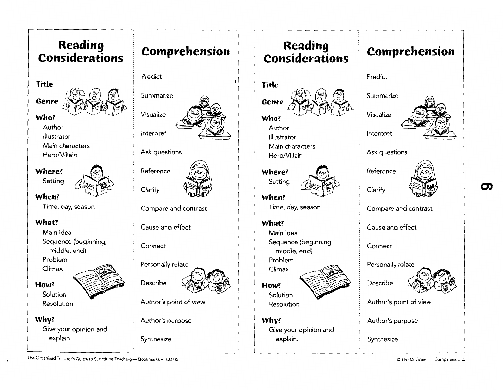

The Organized Teacher's Guide to Substitute Teaching - Bookmarks - CD 05

**0)**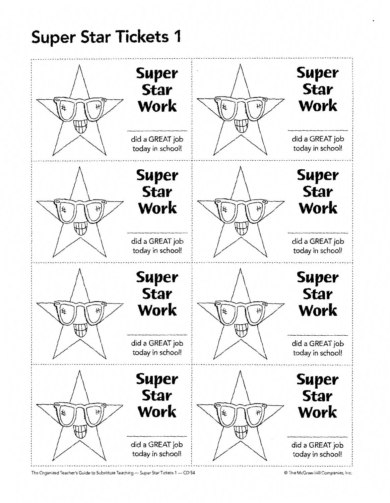## **Super Star Tickets 1**



The Organized Teacher's Guide to Substitute Teaching - Super Star Tickets 1 - CD 54

©The McGraw-Hill Companies, Inc.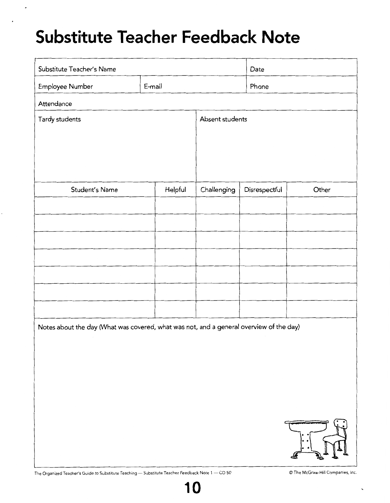### **Substitute Teacher Feedback Note**

| Substitute Teacher's Name                                                               |         |                 | Date          |       |  |
|-----------------------------------------------------------------------------------------|---------|-----------------|---------------|-------|--|
|                                                                                         |         |                 |               |       |  |
| Employee Number                                                                         | E-mail  |                 | Phone         |       |  |
| Attendance                                                                              |         |                 |               |       |  |
| Tardy students                                                                          |         | Absent students |               |       |  |
|                                                                                         |         |                 |               |       |  |
|                                                                                         |         |                 |               |       |  |
|                                                                                         |         |                 |               |       |  |
|                                                                                         |         |                 |               |       |  |
| Student's Name                                                                          | Helpful | Challenging     | Disrespectful | Other |  |
|                                                                                         |         |                 |               |       |  |
|                                                                                         |         |                 |               |       |  |
|                                                                                         |         |                 |               |       |  |
|                                                                                         |         |                 |               |       |  |
|                                                                                         |         |                 |               |       |  |
|                                                                                         |         |                 |               |       |  |
|                                                                                         |         |                 |               |       |  |
| Notes about the day (What was covered, what was not, and a general overview of the day) |         |                 |               |       |  |
|                                                                                         |         |                 |               |       |  |
|                                                                                         |         |                 |               |       |  |
|                                                                                         |         |                 |               |       |  |
|                                                                                         |         |                 |               |       |  |
|                                                                                         |         |                 |               |       |  |
|                                                                                         |         |                 |               |       |  |
|                                                                                         |         |                 |               |       |  |
|                                                                                         |         |                 |               | FIM   |  |
|                                                                                         |         |                 |               |       |  |